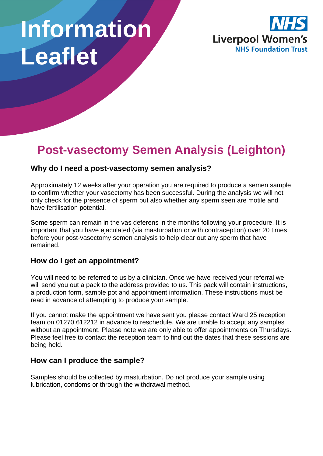# **Information Leaflet**



# **Post-vasectomy Semen Analysis (Leighton)**

## **Why do I need a post-vasectomy semen analysis?**

Approximately 12 weeks after your operation you are required to produce a semen sample to confirm whether your vasectomy has been successful. During the analysis we will not only check for the presence of sperm but also whether any sperm seen are motile and have fertilisation potential.

Some sperm can remain in the vas deferens in the months following your procedure. It is important that you have ejaculated (via masturbation or with contraception) over 20 times before your post-vasectomy semen analysis to help clear out any sperm that have remained.

## **How do I get an appointment?**

You will need to be referred to us by a clinician. Once we have received your referral we will send you out a pack to the address provided to us. This pack will contain instructions, a production form, sample pot and appointment information. These instructions must be read in advance of attempting to produce your sample.

If you cannot make the appointment we have sent you please contact Ward 25 reception team on 01270 612212 in advance to reschedule. We are unable to accept any samples without an appointment. Please note we are only able to offer appointments on Thursdays. Please feel free to contact the reception team to find out the dates that these sessions are being held.

#### **How can I produce the sample?**

Samples should be collected by masturbation. Do not produce your sample using lubrication, condoms or through the withdrawal method.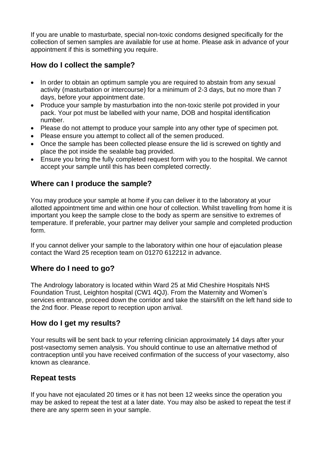If you are unable to masturbate, special non-toxic condoms designed specifically for the collection of semen samples are available for use at home. Please ask in advance of your appointment if this is something you require.

# **How do I collect the sample?**

- In order to obtain an optimum sample you are required to abstain from any sexual activity (masturbation or intercourse) for a minimum of 2-3 days, but no more than 7 days, before your appointment date.
- Produce your sample by masturbation into the non-toxic sterile pot provided in your pack. Your pot must be labelled with your name, DOB and hospital identification number.
- Please do not attempt to produce your sample into any other type of specimen pot.
- Please ensure you attempt to collect all of the semen produced.
- Once the sample has been collected please ensure the lid is screwed on tightly and place the pot inside the sealable bag provided.
- Ensure you bring the fully completed request form with you to the hospital. We cannot accept your sample until this has been completed correctly.

#### **Where can I produce the sample?**

You may produce your sample at home if you can deliver it to the laboratory at your allotted appointment time and within one hour of collection. Whilst travelling from home it is important you keep the sample close to the body as sperm are sensitive to extremes of temperature. If preferable, your partner may deliver your sample and completed production form.

If you cannot deliver your sample to the laboratory within one hour of ejaculation please contact the Ward 25 reception team on 01270 612212 in advance.

## **Where do I need to go?**

The Andrology laboratory is located within Ward 25 at Mid Cheshire Hospitals NHS Foundation Trust, Leighton hospital (CW1 4QJ). From the Maternity and Women's services entrance, proceed down the corridor and take the stairs/lift on the left hand side to the 2nd floor. Please report to reception upon arrival.

#### **How do I get my results?**

Your results will be sent back to your referring clinician approximately 14 days after your post-vasectomy semen analysis. You should continue to use an alternative method of contraception until you have received confirmation of the success of your vasectomy, also known as clearance.

## **Repeat tests**

If you have not ejaculated 20 times or it has not been 12 weeks since the operation you may be asked to repeat the test at a later date. You may also be asked to repeat the test if there are any sperm seen in your sample.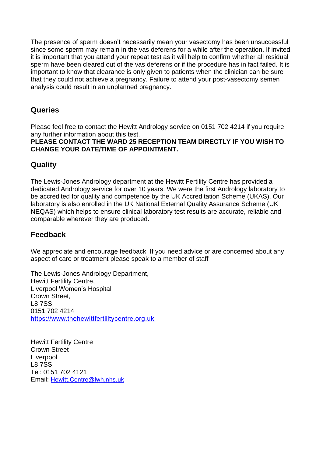The presence of sperm doesn't necessarily mean your vasectomy has been unsuccessful since some sperm may remain in the vas deferens for a while after the operation. If invited, it is important that you attend your repeat test as it will help to confirm whether all residual sperm have been cleared out of the vas deferens or if the procedure has in fact failed. It is important to know that clearance is only given to patients when the clinician can be sure that they could not achieve a pregnancy. Failure to attend your post-vasectomy semen analysis could result in an unplanned pregnancy.

## **Queries**

Please feel free to contact the Hewitt Andrology service on 0151 702 4214 if you require any further information about this test.

**PLEASE CONTACT THE WARD 25 RECEPTION TEAM DIRECTLY IF YOU WISH TO CHANGE YOUR DATE/TIME OF APPOINTMENT.**

## **Quality**

The Lewis-Jones Andrology department at the Hewitt Fertility Centre has provided a dedicated Andrology service for over 10 years. We were the first Andrology laboratory to be accredited for quality and competence by the UK Accreditation Scheme (UKAS). Our laboratory is also enrolled in the UK National External Quality Assurance Scheme (UK NEQAS) which helps to ensure clinical laboratory test results are accurate, reliable and comparable wherever they are produced.

## **Feedback**

We appreciate and encourage feedback. If you need advice or are concerned about any aspect of care or treatment please speak to a member of staff

The Lewis-Jones Andrology Department, Hewitt Fertility Centre, Liverpool Women's Hospital Crown Street, L8 7SS 0151 702 4214 [https://www.thehewittfertilitycentre.org.uk](https://www.thehewittfertilitycentre.org.uk/)

Hewitt Fertility Centre Crown Street Liverpool L8 7SS Tel: 0151 702 4121 Email: [Hewitt.Centre@lwh.nhs.uk](mailto:Hewitt.Centre@lwh.nhs.uk)